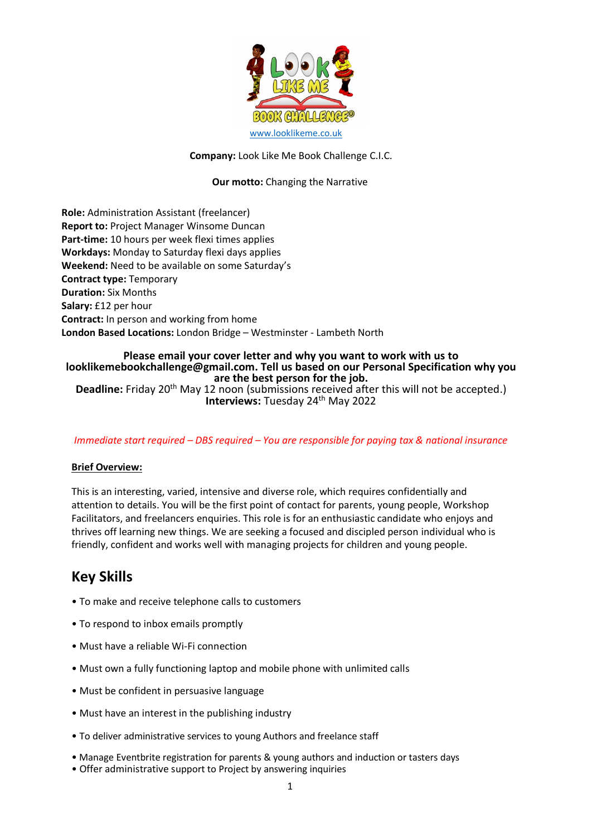

#### **Company:** Look Like Me Book Challenge C.I.C.

## **Our motto:** Changing the Narrative

**Role:** Administration Assistant (freelancer) **Report to:** Project Manager Winsome Duncan **Part-time:** 10 hours per week flexi times applies **Workdays:** Monday to Saturday flexi days applies **Weekend:** Need to be available on some Saturday's **Contract type:** Temporary **Duration:** Six Months **Salary:** £12 per hour **Contract:** In person and working from home **London Based Locations:** London Bridge – Westminster - Lambeth North

## **Please email your cover letter and why you want to work with us to looklikemebookchallenge@gmail.com. Tell us based on our Personal Specification why you are the best person for the job.**

**Deadline:** Friday 20<sup>th</sup> May 12 noon (submissions received after this will not be accepted.) **Interviews: Tuesday 24<sup>th</sup> May 2022** 

#### *Immediate start required – DBS required – You are responsible for paying tax & national insurance*

#### **Brief Overview:**

This is an interesting, varied, intensive and diverse role, which requires confidentially and attention to details. You will be the first point of contact for parents, young people, Workshop Facilitators, and freelancers enquiries. This role is for an enthusiastic candidate who enjoys and thrives off learning new things. We are seeking a focused and discipled person individual who is friendly, confident and works well with managing projects for children and young people.

# **Key Skills**

- To make and receive telephone calls to customers
- To respond to inbox emails promptly
- Must have a reliable Wi-Fi connection
- Must own a fully functioning laptop and mobile phone with unlimited calls
- Must be confident in persuasive language
- Must have an interest in the publishing industry
- To deliver administrative services to young Authors and freelance staff
- Manage Eventbrite registration for parents & young authors and induction or tasters days
- Offer administrative support to Project by answering inquiries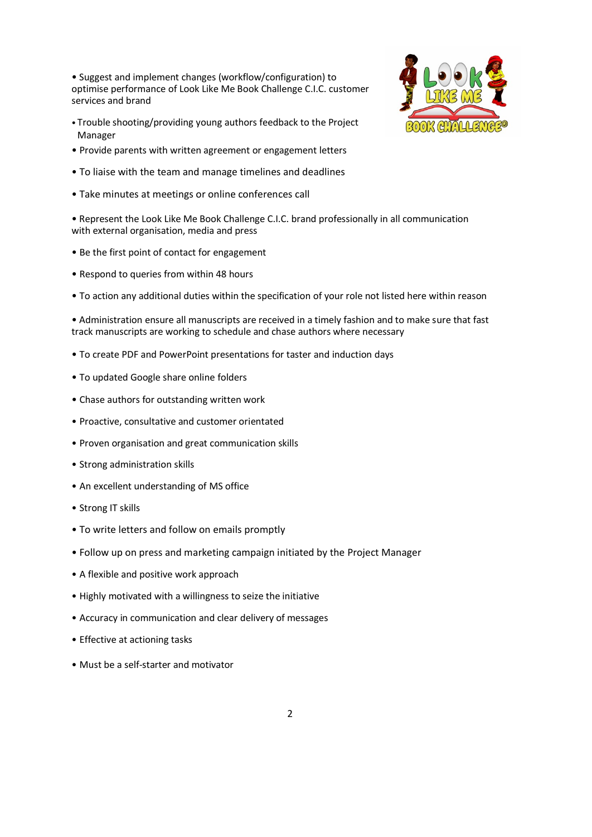• Suggest and implement changes (workflow/configuration) to optimise performance of Look Like Me Book Challenge C.I.C. customer services and brand

- Trouble shooting/providing young authors feedback to the Project Manager
- Provide parents with written agreement or engagement letters
- To liaise with the team and manage timelines and deadlines
- Take minutes at meetings or online conferences call

• Represent the Look Like Me Book Challenge C.I.C. brand professionally in all communication with external organisation, media and press

- Be the first point of contact for engagement
- Respond to queries from within 48 hours
- To action any additional duties within the specification of your role not listed here within reason

• Administration ensure all manuscripts are received in a timely fashion and to make sure that fast track manuscripts are working to schedule and chase authors where necessary

- To create PDF and PowerPoint presentations for taster and induction days
- To updated Google share online folders
- Chase authors for outstanding written work
- Proactive, consultative and customer orientated
- Proven organisation and great communication skills
- Strong administration skills
- An excellent understanding of MS office
- Strong IT skills
- To write letters and follow on emails promptly
- Follow up on press and marketing campaign initiated by the Project Manager
- A flexible and positive work approach
- Highly motivated with a willingness to seize the initiative
- Accuracy in communication and clear delivery of messages
- Effective at actioning tasks
- Must be a self-starter and motivator